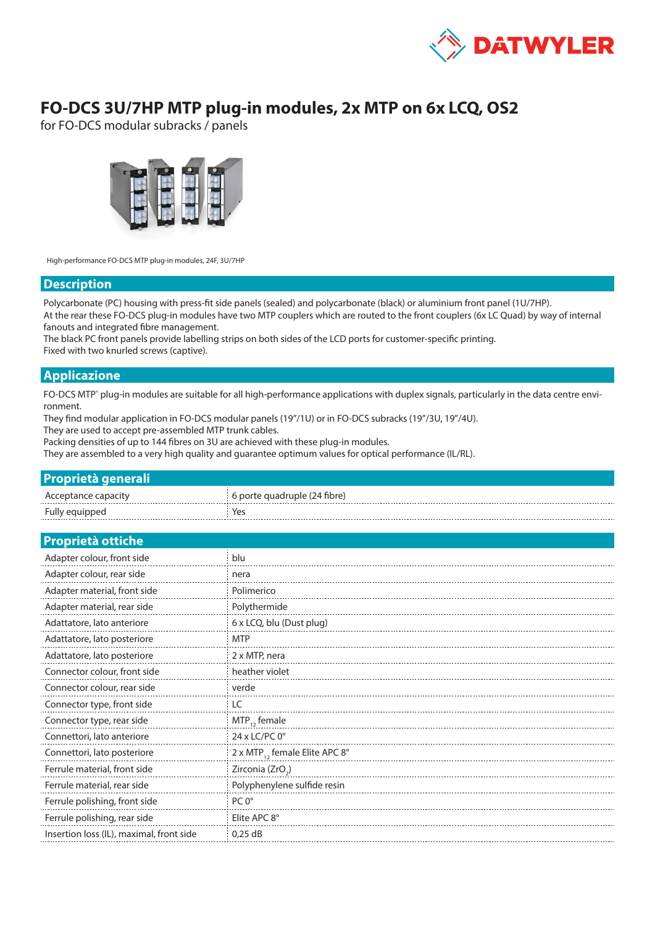

## **FO-DCS 3U/7HP MTP plug-in modules, 2x MTP on 6x LCQ, OS2**

for FO-DCS modular subracks / panels



High-performance FO-DCS MTP plug-in modules, 24F, 3U/7HP

### **Description**

Polycarbonate (PC) housing with press-fit side panels (sealed) and polycarbonate (black) or aluminium front panel (1U/7HP). At the rear these FO-DCS plug-in modules have two MTP couplers which are routed to the front couplers (6x LC Quad) by way of internal fanouts and integrated fibre management.

The black PC front panels provide labelling strips on both sides of the LCD ports for customer-specific printing. Fixed with two knurled screws (captive).

### **Applicazione**

FO-DCS MTP° plug-in modules are suitable for all high-performance applications with duplex signals, particularly in the data centre environment.

They find modular application in FO-DCS modular panels (19"/1U) or in FO-DCS subracks (19"/3U, 19"/4U).

They are used to accept pre-assembled MTP trunk cables.

Packing densities of up to 144 fibres on 3U are achieved with these plug-in modules.

They are assembled to a very high quality and guarantee optimum values for optical performance (IL/RL).

### **Proprietà generali**

| Acceptance capacity | $\pm$ 6 porte quadruple (24 fibre) |
|---------------------|------------------------------------|
| Fully equipped      | Yes                                |

#### **Proprietà ottiche**

| Adapter colour, front side               | blu                                       |  |  |
|------------------------------------------|-------------------------------------------|--|--|
| Adapter colour, rear side                | nera                                      |  |  |
| Adapter material, front side             | Polimerico                                |  |  |
| Adapter material, rear side              | Polythermide                              |  |  |
| Adattatore, lato anteriore               | 6 x LCQ, blu (Dust plug)                  |  |  |
| Adattatore, lato posteriore              | <b>MTP</b>                                |  |  |
| Adattatore, lato posteriore              | 2 x MTP, nera                             |  |  |
| Connector colour, front side             | heather violet                            |  |  |
| Connector colour, rear side              | verde                                     |  |  |
| Connector type, front side               | LC                                        |  |  |
| Connector type, rear side                | $MTP_{12}$ female                         |  |  |
| Connettori, lato anteriore               | 24 x LC/PC $0^\circ$                      |  |  |
| Connettori, lato posteriore              | 2 x MTP <sub>12</sub> female Elite APC 8° |  |  |
| Ferrule material, front side             | Zirconia (ZrO <sub>2</sub> )              |  |  |
| Ferrule material, rear side              | Polyphenylene sulfide resin               |  |  |
| Ferrule polishing, front side            | $PC 0^\circ$                              |  |  |
| Ferrule polishing, rear side             | Elite APC 8°                              |  |  |
| Insertion loss (IL), maximal, front side | $0.25$ dB                                 |  |  |